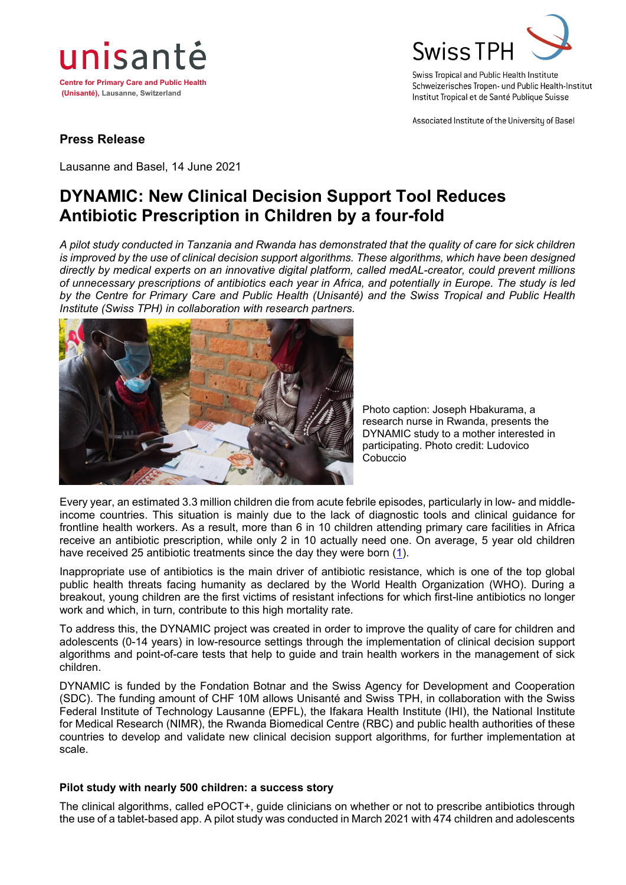



Swiss Tropical and Public Health Institute Schweizerisches Tropen- und Public Health-Institut Institut Tropical et de Santé Publique Suisse

Associated Institute of the University of Basel

### **Press Release**

Lausanne and Basel, 14 June 2021

## **DYNAMIC: New Clinical Decision Support Tool Reduces Antibiotic Prescription in Children by a four-fold**

*A pilot study conducted in Tanzania and Rwanda has demonstrated that the quality of care for sick children is improved by the use of clinical decision support algorithms. These algorithms, which have been designed directly by medical experts on an innovative digital platform, called medAL-creator, could prevent millions of unnecessary prescriptions of antibiotics each year in Africa, and potentially in Europe. The study is led by the Centre for Primary Care and Public Health (Unisanté) and the Swiss Tropical and Public Health Institute (Swiss TPH) in collaboration with research partners.*



Photo caption: Joseph Hbakurama, a research nurse in Rwanda, presents the DYNAMIC study to a mother interested in participating. Photo credit: Ludovico Cobuccio

Every year, an estimated 3.3 million children die from acute febrile episodes, particularly in low- and middleincome countries. This situation is mainly due to the lack of diagnostic tools and clinical guidance for frontline health workers. As a result, more than 6 in 10 children attending primary care facilities in Africa receive an antibiotic prescription, while only 2 in 10 actually need one. On average, 5 year old children have received 25 antibiotic treatments since the day they were born [\(1\)](https://www.thelancet.com/journals/laninf/article/PIIS1473-3099(19)30572-9/fulltext).

Inappropriate use of antibiotics is the main driver of antibiotic resistance, which is one of the top global public health threats facing humanity as declared by the World Health Organization (WHO). During a breakout, young children are the first victims of resistant infections for which first-line antibiotics no longer work and which, in turn, contribute to this high mortality rate.

To address this, the DYNAMIC project was created in order to improve the quality of care for children and adolescents (0-14 years) in low-resource settings through the implementation of clinical decision support algorithms and point-of-care tests that help to guide and train health workers in the management of sick children.

DYNAMIC is funded by the Fondation Botnar and the Swiss Agency for Development and Cooperation (SDC). The funding amount of CHF 10M allows Unisanté and Swiss TPH, in collaboration with the Swiss Federal Institute of Technology Lausanne (EPFL), the Ifakara Health Institute (IHI), the National Institute for Medical Research (NIMR), the Rwanda Biomedical Centre (RBC) and public health authorities of these countries to develop and validate new clinical decision support algorithms, for further implementation at scale.

#### **Pilot study with nearly 500 children: a success story**

The clinical algorithms, called ePOCT+, guide clinicians on whether or not to prescribe antibiotics through the use of a tablet-based app. A pilot study was conducted in March 2021 with 474 children and adolescents